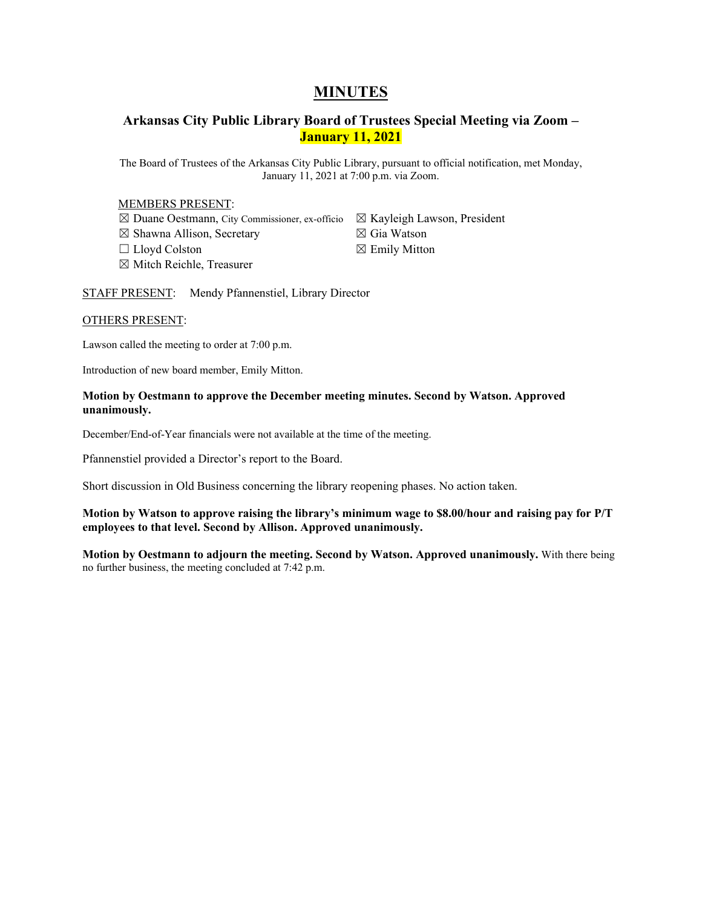# **MINUTES**

# **Arkansas City Public Library Board of Trustees Special Meeting via Zoom – January 11, 2021**

The Board of Trustees of the Arkansas City Public Library, pursuant to official notification, met Monday, January 11, 2021 at 7:00 p.m. via Zoom.

### MEMBERS PRESENT:

☒ Duane Oestmann, City Commissioner, ex-officio ☒ Kayleigh Lawson, President ☒ Shawna Allison, Secretary ☐ Lloyd Colston ☒ Mitch Reichle, Treasurer

☒ Gia Watson  $\boxtimes$  Emily Mitton

STAFF PRESENT: Mendy Pfannenstiel, Library Director

# OTHERS PRESENT:

Lawson called the meeting to order at 7:00 p.m.

Introduction of new board member, Emily Mitton.

### **Motion by Oestmann to approve the December meeting minutes. Second by Watson. Approved unanimously.**

December/End-of-Year financials were not available at the time of the meeting.

Pfannenstiel provided a Director's report to the Board.

Short discussion in Old Business concerning the library reopening phases. No action taken.

# **Motion by Watson to approve raising the library's minimum wage to \$8.00/hour and raising pay for P/T employees to that level. Second by Allison. Approved unanimously.**

**Motion by Oestmann to adjourn the meeting. Second by Watson. Approved unanimously.** With there being no further business, the meeting concluded at 7:42 p.m.